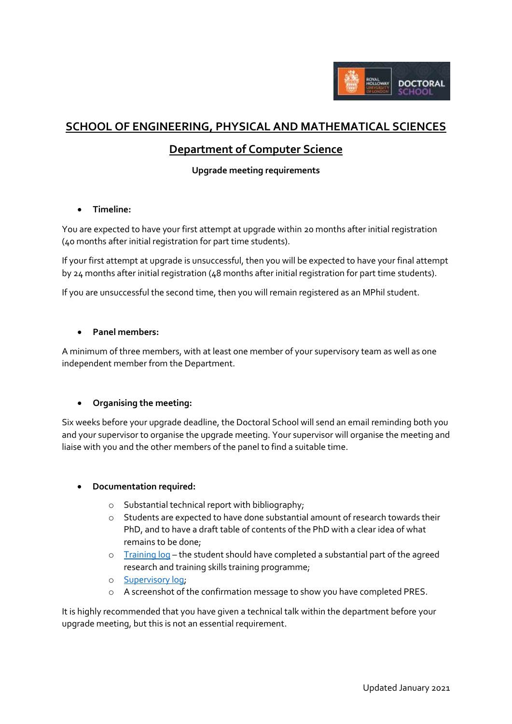

# **SCHOOL OF ENGINEERING, PHYSICAL AND MATHEMATICAL SCIENCES**

## **Department of Computer Science**

## **Upgrade meeting requirements**

## **Timeline:**

You are expected to have your first attempt at upgrade within 20 months after initial registration (40 months after initial registration for part time students).

If your first attempt at upgrade is unsuccessful, then you will be expected to have your final attempt by 24 months after initial registration (48 months after initial registration for part time students).

If you are unsuccessful the second time, then you will remain registered as an MPhil student.

#### **Panel members:**

A minimum of three members, with at least one member of your supervisory team as well as one independent member from the Department.

## **Organising the meeting:**

Six weeks before your upgrade deadline, the Doctoral School will send an email reminding both you and your supervisor to organise the upgrade meeting. Your supervisor will organise the meeting and liaise with you and the other members of the panel to find a suitable time.

## **Documentation required:**

- o Substantial technical report with bibliography;
- o Students are expected to have done substantial amount of research towards their PhD, and to have a draft table of contents of the PhD with a clear idea of what remains to be done;
- o [Training log](http://preview.rhul.ac.uk/doctoral-school/assets/docs/doc/new-research-log.docx) the student should have completed a substantial part of the agreed research and training skills training programme;
- o [Supervisory log;](http://preview.rhul.ac.uk/doctoral-school/assets/docs/doc/pgr-record-of-supervisor-contacts.docx)
- o A screenshot of the confirmation message to show you have completed PRES.

It is highly recommended that you have given a technical talk within the department before your upgrade meeting, but this is not an essential requirement.